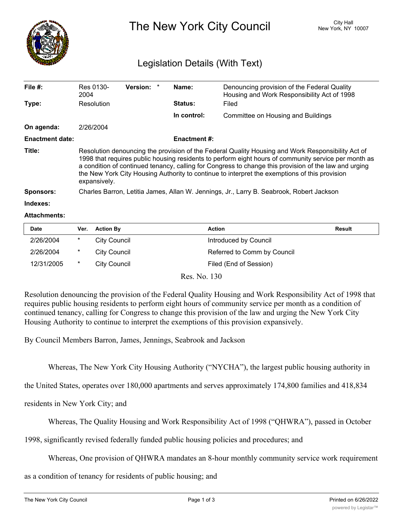

The New York City Council New York, NY 10007

## Legislation Details (With Text)

| File $#$ :             | Res 0130-<br>2004                                                                                                                                                                                                                                                                                                                                                                                                                   | <b>Version:</b> |  | Name:       | Denouncing provision of the Federal Quality<br>Housing and Work Responsibility Act of 1998 |  |  |
|------------------------|-------------------------------------------------------------------------------------------------------------------------------------------------------------------------------------------------------------------------------------------------------------------------------------------------------------------------------------------------------------------------------------------------------------------------------------|-----------------|--|-------------|--------------------------------------------------------------------------------------------|--|--|
| Type:                  | Resolution                                                                                                                                                                                                                                                                                                                                                                                                                          |                 |  | Status:     | Filed                                                                                      |  |  |
|                        |                                                                                                                                                                                                                                                                                                                                                                                                                                     |                 |  | In control: | Committee on Housing and Buildings                                                         |  |  |
| On agenda:             | 2/26/2004                                                                                                                                                                                                                                                                                                                                                                                                                           |                 |  |             |                                                                                            |  |  |
| <b>Enactment date:</b> | <b>Enactment #:</b>                                                                                                                                                                                                                                                                                                                                                                                                                 |                 |  |             |                                                                                            |  |  |
| Title:                 | Resolution denouncing the provision of the Federal Quality Housing and Work Responsibility Act of<br>1998 that requires public housing residents to perform eight hours of community service per month as<br>a condition of continued tenancy, calling for Congress to change this provision of the law and urging<br>the New York City Housing Authority to continue to interpret the exemptions of this provision<br>expansively. |                 |  |             |                                                                                            |  |  |
| <b>Sponsors:</b>       | Charles Barron, Letitia James, Allan W. Jennings, Jr., Larry B. Seabrook, Robert Jackson                                                                                                                                                                                                                                                                                                                                            |                 |  |             |                                                                                            |  |  |
| Indexes:               |                                                                                                                                                                                                                                                                                                                                                                                                                                     |                 |  |             |                                                                                            |  |  |

## **Attachments:**

| <b>Date</b> | Ver. | <b>Action By</b> | Action                      | Result |
|-------------|------|------------------|-----------------------------|--------|
| 2/26/2004   | *    | City Council     | Introduced by Council       |        |
| 2/26/2004   | *    | City Council     | Referred to Comm by Council |        |
| 12/31/2005  | *    | City Council     | Filed (End of Session)      |        |

Res. No. 130

Resolution denouncing the provision of the Federal Quality Housing and Work Responsibility Act of 1998 that requires public housing residents to perform eight hours of community service per month as a condition of continued tenancy, calling for Congress to change this provision of the law and urging the New York City Housing Authority to continue to interpret the exemptions of this provision expansively.

By Council Members Barron, James, Jennings, Seabrook and Jackson

Whereas, The New York City Housing Authority ("NYCHA"), the largest public housing authority in

the United States, operates over 180,000 apartments and serves approximately 174,800 families and 418,834

residents in New York City; and

Whereas, The Quality Housing and Work Responsibility Act of 1998 ("QHWRA"), passed in October

1998, significantly revised federally funded public housing policies and procedures; and

Whereas, One provision of QHWRA mandates an 8-hour monthly community service work requirement

as a condition of tenancy for residents of public housing; and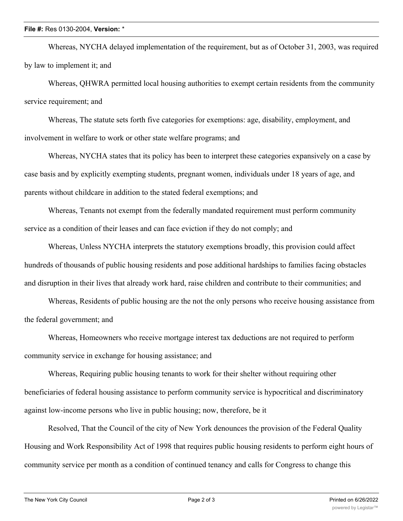## **File #:** Res 0130-2004, **Version:** \*

Whereas, NYCHA delayed implementation of the requirement, but as of October 31, 2003, was required by law to implement it; and

Whereas, QHWRA permitted local housing authorities to exempt certain residents from the community service requirement; and

Whereas, The statute sets forth five categories for exemptions: age, disability, employment, and involvement in welfare to work or other state welfare programs; and

Whereas, NYCHA states that its policy has been to interpret these categories expansively on a case by case basis and by explicitly exempting students, pregnant women, individuals under 18 years of age, and parents without childcare in addition to the stated federal exemptions; and

Whereas, Tenants not exempt from the federally mandated requirement must perform community service as a condition of their leases and can face eviction if they do not comply; and

Whereas, Unless NYCHA interprets the statutory exemptions broadly, this provision could affect hundreds of thousands of public housing residents and pose additional hardships to families facing obstacles and disruption in their lives that already work hard, raise children and contribute to their communities; and

Whereas, Residents of public housing are the not the only persons who receive housing assistance from the federal government; and

Whereas, Homeowners who receive mortgage interest tax deductions are not required to perform community service in exchange for housing assistance; and

Whereas, Requiring public housing tenants to work for their shelter without requiring other beneficiaries of federal housing assistance to perform community service is hypocritical and discriminatory against low-income persons who live in public housing; now, therefore, be it

Resolved, That the Council of the city of New York denounces the provision of the Federal Quality Housing and Work Responsibility Act of 1998 that requires public housing residents to perform eight hours of community service per month as a condition of continued tenancy and calls for Congress to change this